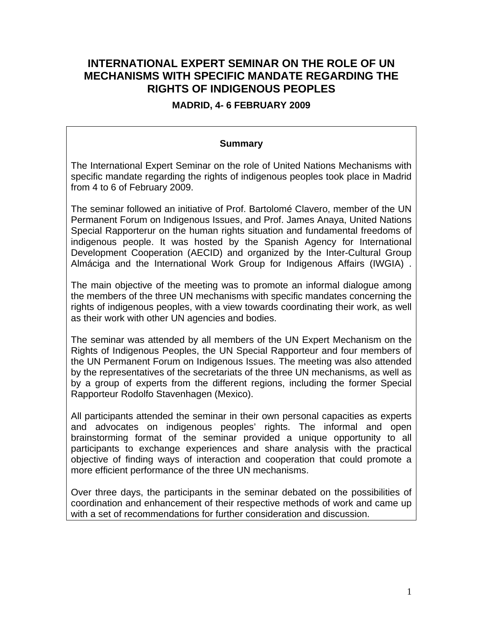# **INTERNATIONAL EXPERT SEMINAR ON THE ROLE OF UN MECHANISMS WITH SPECIFIC MANDATE REGARDING THE RIGHTS OF INDIGENOUS PEOPLES**

#### **MADRID, 4- 6 FEBRUARY 2009**

#### **Summary**

The International Expert Seminar on the role of United Nations Mechanisms with specific mandate regarding the rights of indigenous peoples took place in Madrid from 4 to 6 of February 2009.

The seminar followed an initiative of Prof. Bartolomé Clavero, member of the UN Permanent Forum on Indigenous Issues, and Prof. James Anaya, United Nations Special Rapporterur on the human rights situation and fundamental freedoms of indigenous people. It was hosted by the Spanish Agency for International Development Cooperation (AECID) and organized by the Inter-Cultural Group Almáciga and the International Work Group for Indigenous Affairs (IWGIA) .

The main objective of the meeting was to promote an informal dialogue among the members of the three UN mechanisms with specific mandates concerning the rights of indigenous peoples, with a view towards coordinating their work, as well as their work with other UN agencies and bodies.

The seminar was attended by all members of the UN Expert Mechanism on the Rights of Indigenous Peoples, the UN Special Rapporteur and four members of the UN Permanent Forum on Indigenous Issues. The meeting was also attended by the representatives of the secretariats of the three UN mechanisms, as well as by a group of experts from the different regions, including the former Special Rapporteur Rodolfo Stavenhagen (Mexico).

All participants attended the seminar in their own personal capacities as experts and advocates on indigenous peoples' rights. The informal and open brainstorming format of the seminar provided a unique opportunity to all participants to exchange experiences and share analysis with the practical objective of finding ways of interaction and cooperation that could promote a more efficient performance of the three UN mechanisms.

Over three days, the participants in the seminar debated on the possibilities of coordination and enhancement of their respective methods of work and came up with a set of recommendations for further consideration and discussion.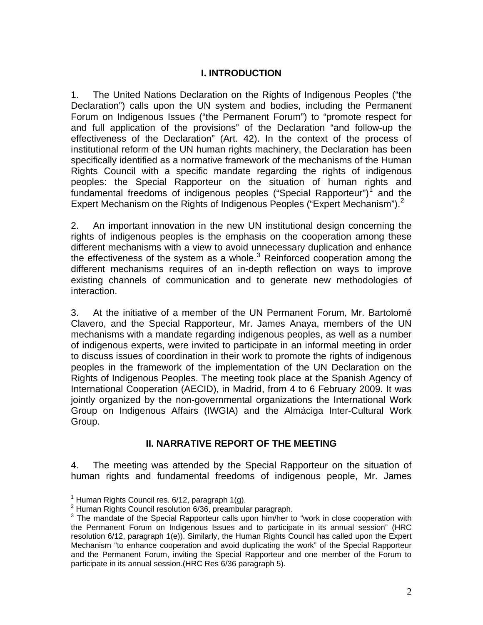## **I. INTRODUCTION**

1. The United Nations Declaration on the Rights of Indigenous Peoples ("the Declaration") calls upon the UN system and bodies, including the Permanent Forum on Indigenous Issues ("the Permanent Forum") to "promote respect for and full application of the provisions" of the Declaration "and follow-up the effectiveness of the Declaration" (Art. 42). In the context of the process of institutional reform of the UN human rights machinery, the Declaration has been specifically identified as a normative framework of the mechanisms of the Human Rights Council with a specific mandate regarding the rights of indigenous peoples: the Special Rapporteur on the situation of human rights and fundamental freedoms of indigenous peoples ("Special Rapporteur")<sup>[1](#page-1-0)</sup> and the Expert Mechanism on the Rights of Indigenous Peoples ("Expert Mechanism"). $2$ 

2. An important innovation in the new UN institutional design concerning the rights of indigenous peoples is the emphasis on the cooperation among these different mechanisms with a view to avoid unnecessary duplication and enhance the effectiveness of the system as a whole. $3$  Reinforced cooperation among the different mechanisms requires of an in-depth reflection on ways to improve existing channels of communication and to generate new methodologies of interaction.

3. At the initiative of a member of the UN Permanent Forum, Mr. Bartolomé Clavero, and the Special Rapporteur, Mr. James Anaya, members of the UN mechanisms with a mandate regarding indigenous peoples, as well as a number of indigenous experts, were invited to participate in an informal meeting in order to discuss issues of coordination in their work to promote the rights of indigenous peoples in the framework of the implementation of the UN Declaration on the Rights of Indigenous Peoples. The meeting took place at the Spanish Agency of International Cooperation (AECID), in Madrid, from 4 to 6 February 2009. It was jointly organized by the non-governmental organizations the International Work Group on Indigenous Affairs (IWGIA) and the Almáciga Inter-Cultural Work Group.

#### **II. NARRATIVE REPORT OF THE MEETING**

4. The meeting was attended by the Special Rapporteur on the situation of human rights and fundamental freedoms of indigenous people, Mr. James

<span id="page-1-0"></span>

 1 Human Rights Council res. 6/12, paragraph 1(g). 2 Human Rights Council resolution 6/36, preambular paragraph.

<span id="page-1-2"></span><span id="page-1-1"></span> $3$  The mandate of the Special Rapporteur calls upon him/her to "work in close cooperation with the Permanent Forum on Indigenous Issues and to participate in its annual session" (HRC resolution 6/12, paragraph 1(e)). Similarly, the Human Rights Council has called upon the Expert Mechanism "to enhance cooperation and avoid duplicating the work" of the Special Rapporteur and the Permanent Forum, inviting the Special Rapporteur and one member of the Forum to participate in its annual session.(HRC Res 6/36 paragraph 5).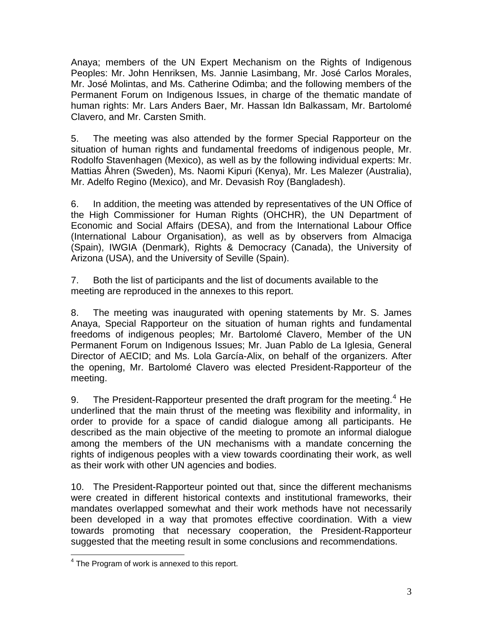Anaya; members of the UN Expert Mechanism on the Rights of Indigenous Peoples: Mr. John Henriksen, Ms. Jannie Lasimbang, Mr. José Carlos Morales, Mr. José Molintas, and Ms. Catherine Odimba; and the following members of the Permanent Forum on Indigenous Issues, in charge of the thematic mandate of human rights: Mr. Lars Anders Baer, Mr. Hassan Idn Balkassam, Mr. Bartolomé Clavero, and Mr. Carsten Smith.

5. The meeting was also attended by the former Special Rapporteur on the situation of human rights and fundamental freedoms of indigenous people, Mr. Rodolfo Stavenhagen (Mexico), as well as by the following individual experts: Mr. Mattias Åhren (Sweden), Ms. Naomi Kipuri (Kenya), Mr. Les Malezer (Australia), Mr. Adelfo Regino (Mexico), and Mr. Devasish Roy (Bangladesh).

6. In addition, the meeting was attended by representatives of the UN Office of the High Commissioner for Human Rights (OHCHR), the UN Department of Economic and Social Affairs (DESA), and from the International Labour Office (International Labour Organisation), as well as by observers from Almaciga (Spain), IWGIA (Denmark), Rights & Democracy (Canada), the University of Arizona (USA), and the University of Seville (Spain).

7. Both the list of participants and the list of documents available to the meeting are reproduced in the annexes to this report.

8. The meeting was inaugurated with opening statements by Mr. S. James Anaya, Special Rapporteur on the situation of human rights and fundamental freedoms of indigenous peoples; Mr. Bartolomé Clavero, Member of the UN Permanent Forum on Indigenous Issues; Mr. Juan Pablo de La Iglesia, General Director of AECID; and Ms. Lola García-Alix, on behalf of the organizers. After the opening, Mr. Bartolomé Clavero was elected President-Rapporteur of the meeting.

9. The President-Rapporteur presented the draft program for the meeting.<sup>[4](#page-2-0)</sup> He underlined that the main thrust of the meeting was flexibility and informality, in order to provide for a space of candid dialogue among all participants. He described as the main objective of the meeting to promote an informal dialogue among the members of the UN mechanisms with a mandate concerning the rights of indigenous peoples with a view towards coordinating their work, as well as their work with other UN agencies and bodies.

10. The President-Rapporteur pointed out that, since the different mechanisms were created in different historical contexts and institutional frameworks, their mandates overlapped somewhat and their work methods have not necessarily been developed in a way that promotes effective coordination. With a view towards promoting that necessary cooperation, the President-Rapporteur suggested that the meeting result in some conclusions and recommendations.

<span id="page-2-0"></span> 4 The Program of work is annexed to this report.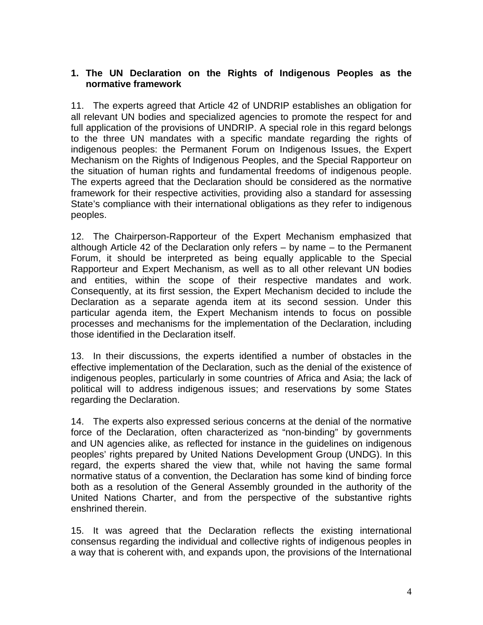## **1. The UN Declaration on the Rights of Indigenous Peoples as the normative framework**

11. The experts agreed that Article 42 of UNDRIP establishes an obligation for all relevant UN bodies and specialized agencies to promote the respect for and full application of the provisions of UNDRIP. A special role in this regard belongs to the three UN mandates with a specific mandate regarding the rights of indigenous peoples: the Permanent Forum on Indigenous Issues, the Expert Mechanism on the Rights of Indigenous Peoples, and the Special Rapporteur on the situation of human rights and fundamental freedoms of indigenous people. The experts agreed that the Declaration should be considered as the normative framework for their respective activities, providing also a standard for assessing State's compliance with their international obligations as they refer to indigenous peoples.

12. The Chairperson-Rapporteur of the Expert Mechanism emphasized that although Article 42 of the Declaration only refers – by name – to the Permanent Forum, it should be interpreted as being equally applicable to the Special Rapporteur and Expert Mechanism, as well as to all other relevant UN bodies and entities, within the scope of their respective mandates and work. Consequently, at its first session, the Expert Mechanism decided to include the Declaration as a separate agenda item at its second session. Under this particular agenda item, the Expert Mechanism intends to focus on possible processes and mechanisms for the implementation of the Declaration, including those identified in the Declaration itself.

13. In their discussions, the experts identified a number of obstacles in the effective implementation of the Declaration, such as the denial of the existence of indigenous peoples, particularly in some countries of Africa and Asia; the lack of political will to address indigenous issues; and reservations by some States regarding the Declaration.

14. The experts also expressed serious concerns at the denial of the normative force of the Declaration, often characterized as "non-binding" by governments and UN agencies alike, as reflected for instance in the guidelines on indigenous peoples' rights prepared by United Nations Development Group (UNDG). In this regard, the experts shared the view that, while not having the same formal normative status of a convention, the Declaration has some kind of binding force both as a resolution of the General Assembly grounded in the authority of the United Nations Charter, and from the perspective of the substantive rights enshrined therein.

15. It was agreed that the Declaration reflects the existing international consensus regarding the individual and collective rights of indigenous peoples in a way that is coherent with, and expands upon, the provisions of the International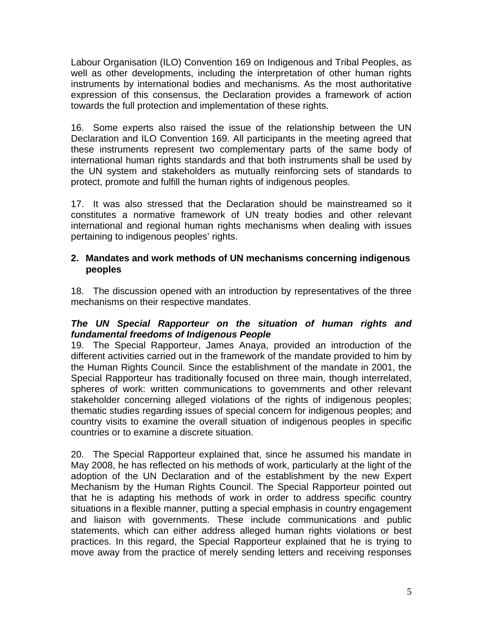Labour Organisation (ILO) Convention 169 on Indigenous and Tribal Peoples, as well as other developments, including the interpretation of other human rights instruments by international bodies and mechanisms. As the most authoritative expression of this consensus, the Declaration provides a framework of action towards the full protection and implementation of these rights.

16. Some experts also raised the issue of the relationship between the UN Declaration and ILO Convention 169. All participants in the meeting agreed that these instruments represent two complementary parts of the same body of international human rights standards and that both instruments shall be used by the UN system and stakeholders as mutually reinforcing sets of standards to protect, promote and fulfill the human rights of indigenous peoples.

17. It was also stressed that the Declaration should be mainstreamed so it constitutes a normative framework of UN treaty bodies and other relevant international and regional human rights mechanisms when dealing with issues pertaining to indigenous peoples' rights.

## **2. Mandates and work methods of UN mechanisms concerning indigenous peoples**

18. The discussion opened with an introduction by representatives of the three mechanisms on their respective mandates.

## *The UN Special Rapporteur on the situation of human rights and fundamental freedoms of Indigenous People*

19. The Special Rapporteur, James Anaya, provided an introduction of the different activities carried out in the framework of the mandate provided to him by the Human Rights Council. Since the establishment of the mandate in 2001, the Special Rapporteur has traditionally focused on three main, though interrelated, spheres of work: written communications to governments and other relevant stakeholder concerning alleged violations of the rights of indigenous peoples; thematic studies regarding issues of special concern for indigenous peoples; and country visits to examine the overall situation of indigenous peoples in specific countries or to examine a discrete situation.

20. The Special Rapporteur explained that, since he assumed his mandate in May 2008, he has reflected on his methods of work, particularly at the light of the adoption of the UN Declaration and of the establishment by the new Expert Mechanism by the Human Rights Council. The Special Rapporteur pointed out that he is adapting his methods of work in order to address specific country situations in a flexible manner, putting a special emphasis in country engagement and liaison with governments. These include communications and public statements, which can either address alleged human rights violations or best practices. In this regard, the Special Rapporteur explained that he is trying to move away from the practice of merely sending letters and receiving responses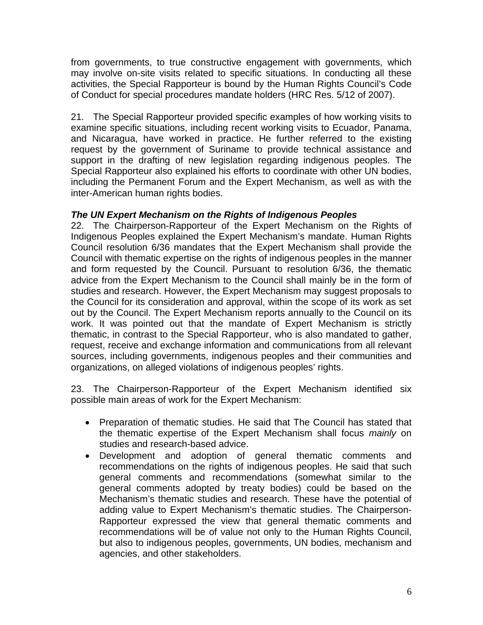from governments, to true constructive engagement with governments, which may involve on-site visits related to specific situations. In conducting all these activities, the Special Rapporteur is bound by the Human Rights Council's Code of Conduct for special procedures mandate holders (HRC Res. 5/12 of 2007).

21. The Special Rapporteur provided specific examples of how working visits to examine specific situations, including recent working visits to Ecuador, Panama, and Nicaragua, have worked in practice. He further referred to the existing request by the government of Suriname to provide technical assistance and support in the drafting of new legislation regarding indigenous peoples. The Special Rapporteur also explained his efforts to coordinate with other UN bodies, including the Permanent Forum and the Expert Mechanism, as well as with the inter-American human rights bodies.

## *The UN Expert Mechanism on the Rights of Indigenous Peoples*

22. The Chairperson-Rapporteur of the Expert Mechanism on the Rights of Indigenous Peoples explained the Expert Mechanism's mandate. Human Rights Council resolution 6/36 mandates that the Expert Mechanism shall provide the Council with thematic expertise on the rights of indigenous peoples in the manner and form requested by the Council. Pursuant to resolution 6/36, the thematic advice from the Expert Mechanism to the Council shall mainly be in the form of studies and research. However, the Expert Mechanism may suggest proposals to the Council for its consideration and approval, within the scope of its work as set out by the Council. The Expert Mechanism reports annually to the Council on its work. It was pointed out that the mandate of Expert Mechanism is strictly thematic, in contrast to the Special Rapporteur, who is also mandated to gather, request, receive and exchange information and communications from all relevant sources, including governments, indigenous peoples and their communities and organizations, on alleged violations of indigenous peoples' rights.

23. The Chairperson-Rapporteur of the Expert Mechanism identified six possible main areas of work for the Expert Mechanism:

- Preparation of thematic studies. He said that The Council has stated that the thematic expertise of the Expert Mechanism shall focus *mainly* on studies and research-based advice.
- Development and adoption of general thematic comments and recommendations on the rights of indigenous peoples. He said that such general comments and recommendations (somewhat similar to the general comments adopted by treaty bodies) could be based on the Mechanism's thematic studies and research. These have the potential of adding value to Expert Mechanism's thematic studies. The Chairperson-Rapporteur expressed the view that general thematic comments and recommendations will be of value not only to the Human Rights Council, but also to indigenous peoples, governments, UN bodies, mechanism and agencies, and other stakeholders.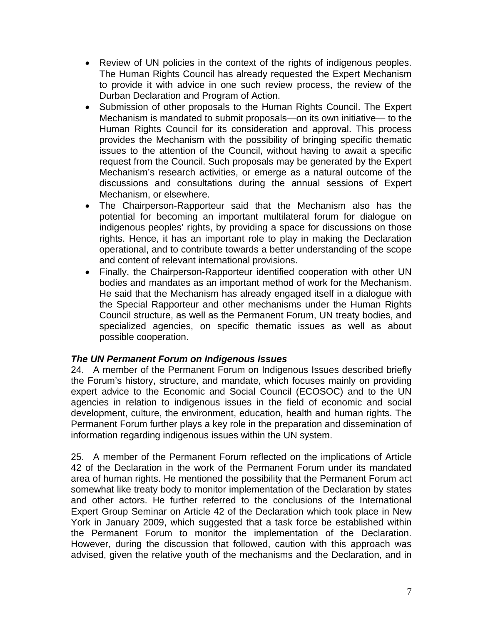- Review of UN policies in the context of the rights of indigenous peoples. The Human Rights Council has already requested the Expert Mechanism to provide it with advice in one such review process, the review of the Durban Declaration and Program of Action.
- Submission of other proposals to the Human Rights Council. The Expert Mechanism is mandated to submit proposals—on its own initiative— to the Human Rights Council for its consideration and approval. This process provides the Mechanism with the possibility of bringing specific thematic issues to the attention of the Council, without having to await a specific request from the Council. Such proposals may be generated by the Expert Mechanism's research activities, or emerge as a natural outcome of the discussions and consultations during the annual sessions of Expert Mechanism, or elsewhere.
- The Chairperson-Rapporteur said that the Mechanism also has the potential for becoming an important multilateral forum for dialogue on indigenous peoples' rights, by providing a space for discussions on those rights. Hence, it has an important role to play in making the Declaration operational, and to contribute towards a better understanding of the scope and content of relevant international provisions.
- Finally, the Chairperson-Rapporteur identified cooperation with other UN bodies and mandates as an important method of work for the Mechanism. He said that the Mechanism has already engaged itself in a dialogue with the Special Rapporteur and other mechanisms under the Human Rights Council structure, as well as the Permanent Forum, UN treaty bodies, and specialized agencies, on specific thematic issues as well as about possible cooperation.

## *The UN Permanent Forum on Indigenous Issues*

24. A member of the Permanent Forum on Indigenous Issues described briefly the Forum's history, structure, and mandate, which focuses mainly on providing expert advice to the Economic and Social Council (ECOSOC) and to the UN agencies in relation to indigenous issues in the field of economic and social development, culture, the environment, education, health and human rights. The Permanent Forum further plays a key role in the preparation and dissemination of information regarding indigenous issues within the UN system.

25. A member of the Permanent Forum reflected on the implications of Article 42 of the Declaration in the work of the Permanent Forum under its mandated area of human rights. He mentioned the possibility that the Permanent Forum act somewhat like treaty body to monitor implementation of the Declaration by states and other actors. He further referred to the conclusions of the International Expert Group Seminar on Article 42 of the Declaration which took place in New York in January 2009, which suggested that a task force be established within the Permanent Forum to monitor the implementation of the Declaration. However, during the discussion that followed, caution with this approach was advised, given the relative youth of the mechanisms and the Declaration, and in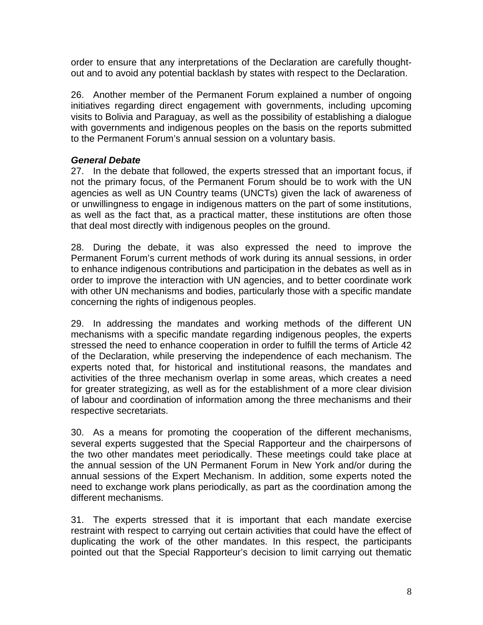order to ensure that any interpretations of the Declaration are carefully thoughtout and to avoid any potential backlash by states with respect to the Declaration.

26. Another member of the Permanent Forum explained a number of ongoing initiatives regarding direct engagement with governments, including upcoming visits to Bolivia and Paraguay, as well as the possibility of establishing a dialogue with governments and indigenous peoples on the basis on the reports submitted to the Permanent Forum's annual session on a voluntary basis.

#### *General Debate*

27. In the debate that followed, the experts stressed that an important focus, if not the primary focus, of the Permanent Forum should be to work with the UN agencies as well as UN Country teams (UNCTs) given the lack of awareness of or unwillingness to engage in indigenous matters on the part of some institutions, as well as the fact that, as a practical matter, these institutions are often those that deal most directly with indigenous peoples on the ground.

28. During the debate, it was also expressed the need to improve the Permanent Forum's current methods of work during its annual sessions, in order to enhance indigenous contributions and participation in the debates as well as in order to improve the interaction with UN agencies, and to better coordinate work with other UN mechanisms and bodies, particularly those with a specific mandate concerning the rights of indigenous peoples.

29. In addressing the mandates and working methods of the different UN mechanisms with a specific mandate regarding indigenous peoples, the experts stressed the need to enhance cooperation in order to fulfill the terms of Article 42 of the Declaration, while preserving the independence of each mechanism. The experts noted that, for historical and institutional reasons, the mandates and activities of the three mechanism overlap in some areas, which creates a need for greater strategizing, as well as for the establishment of a more clear division of labour and coordination of information among the three mechanisms and their respective secretariats.

30. As a means for promoting the cooperation of the different mechanisms, several experts suggested that the Special Rapporteur and the chairpersons of the two other mandates meet periodically. These meetings could take place at the annual session of the UN Permanent Forum in New York and/or during the annual sessions of the Expert Mechanism. In addition, some experts noted the need to exchange work plans periodically, as part as the coordination among the different mechanisms.

31. The experts stressed that it is important that each mandate exercise restraint with respect to carrying out certain activities that could have the effect of duplicating the work of the other mandates. In this respect, the participants pointed out that the Special Rapporteur's decision to limit carrying out thematic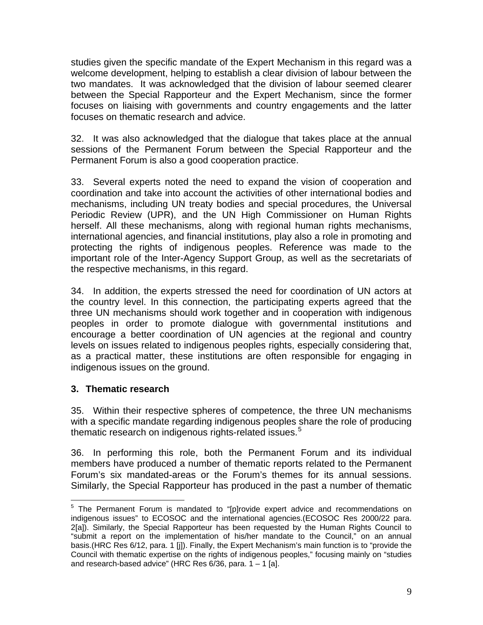studies given the specific mandate of the Expert Mechanism in this regard was a welcome development, helping to establish a clear division of labour between the two mandates. It was acknowledged that the division of labour seemed clearer between the Special Rapporteur and the Expert Mechanism, since the former focuses on liaising with governments and country engagements and the latter focuses on thematic research and advice.

32. It was also acknowledged that the dialogue that takes place at the annual sessions of the Permanent Forum between the Special Rapporteur and the Permanent Forum is also a good cooperation practice.

33. Several experts noted the need to expand the vision of cooperation and coordination and take into account the activities of other international bodies and mechanisms, including UN treaty bodies and special procedures, the Universal Periodic Review (UPR), and the UN High Commissioner on Human Rights herself. All these mechanisms, along with regional human rights mechanisms, international agencies, and financial institutions, play also a role in promoting and protecting the rights of indigenous peoples. Reference was made to the important role of the Inter-Agency Support Group, as well as the secretariats of the respective mechanisms, in this regard.

34. In addition, the experts stressed the need for coordination of UN actors at the country level. In this connection, the participating experts agreed that the three UN mechanisms should work together and in cooperation with indigenous peoples in order to promote dialogue with governmental institutions and encourage a better coordination of UN agencies at the regional and country levels on issues related to indigenous peoples rights, especially considering that, as a practical matter, these institutions are often responsible for engaging in indigenous issues on the ground.

## **3. Thematic research**

35. Within their respective spheres of competence, the three UN mechanisms with a specific mandate regarding indigenous peoples share the role of producing thematic research on indigenous rights-related issues.<sup>[5](#page-8-0)</sup>

36. In performing this role, both the Permanent Forum and its individual members have produced a number of thematic reports related to the Permanent Forum's six mandated-areas or the Forum's themes for its annual sessions. Similarly, the Special Rapporteur has produced in the past a number of thematic

<span id="page-8-0"></span> 5 The Permanent Forum is mandated to "[p]rovide expert advice and recommendations on indigenous issues" to ECOSOC and the international agencies.(ECOSOC Res 2000/22 para. 2[a]). Similarly, the Special Rapporteur has been requested by the Human Rights Council to "submit a report on the implementation of his/her mandate to the Council," on an annual basis.(HRC Res 6/12, para. 1 [j]). Finally, the Expert Mechanism's main function is to "provide the Council with thematic expertise on the rights of indigenous peoples," focusing mainly on "studies and research-based advice" (HRC Res  $6/36$ , para.  $1 - 1$  [a].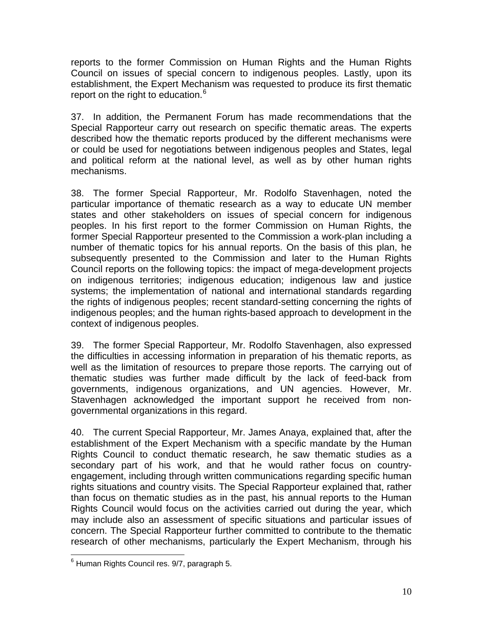reports to the former Commission on Human Rights and the Human Rights Council on issues of special concern to indigenous peoples. Lastly, upon its establishment, the Expert Mechanism was requested to produce its first thematic report on the right to education.<sup>[6](#page-9-0)</sup>

37. In addition, the Permanent Forum has made recommendations that the Special Rapporteur carry out research on specific thematic areas. The experts described how the thematic reports produced by the different mechanisms were or could be used for negotiations between indigenous peoples and States, legal and political reform at the national level, as well as by other human rights mechanisms.

38. The former Special Rapporteur, Mr. Rodolfo Stavenhagen, noted the particular importance of thematic research as a way to educate UN member states and other stakeholders on issues of special concern for indigenous peoples. In his first report to the former Commission on Human Rights, the former Special Rapporteur presented to the Commission a work-plan including a number of thematic topics for his annual reports. On the basis of this plan, he subsequently presented to the Commission and later to the Human Rights Council reports on the following topics: the impact of mega-development projects on indigenous territories; indigenous education; indigenous law and justice systems; the implementation of national and international standards regarding the rights of indigenous peoples; recent standard-setting concerning the rights of indigenous peoples; and the human rights-based approach to development in the context of indigenous peoples.

39. The former Special Rapporteur, Mr. Rodolfo Stavenhagen, also expressed the difficulties in accessing information in preparation of his thematic reports, as well as the limitation of resources to prepare those reports. The carrying out of thematic studies was further made difficult by the lack of feed-back from governments, indigenous organizations, and UN agencies. However, Mr. Stavenhagen acknowledged the important support he received from nongovernmental organizations in this regard.

40. The current Special Rapporteur, Mr. James Anaya, explained that, after the establishment of the Expert Mechanism with a specific mandate by the Human Rights Council to conduct thematic research, he saw thematic studies as a secondary part of his work, and that he would rather focus on countryengagement, including through written communications regarding specific human rights situations and country visits. The Special Rapporteur explained that, rather than focus on thematic studies as in the past, his annual reports to the Human Rights Council would focus on the activities carried out during the year, which may include also an assessment of specific situations and particular issues of concern. The Special Rapporteur further committed to contribute to the thematic research of other mechanisms, particularly the Expert Mechanism, through his

<span id="page-9-0"></span> $\overline{a}$ <sup>6</sup> Human Rights Council res. 9/7, paragraph 5.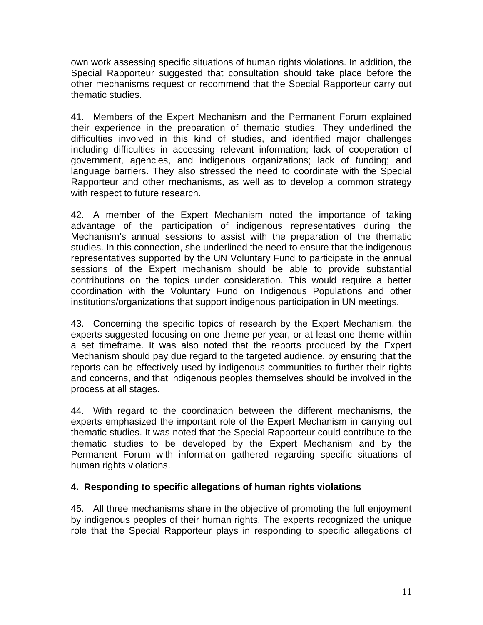own work assessing specific situations of human rights violations. In addition, the Special Rapporteur suggested that consultation should take place before the other mechanisms request or recommend that the Special Rapporteur carry out thematic studies.

41. Members of the Expert Mechanism and the Permanent Forum explained their experience in the preparation of thematic studies. They underlined the difficulties involved in this kind of studies, and identified major challenges including difficulties in accessing relevant information; lack of cooperation of government, agencies, and indigenous organizations; lack of funding; and language barriers. They also stressed the need to coordinate with the Special Rapporteur and other mechanisms, as well as to develop a common strategy with respect to future research.

42. A member of the Expert Mechanism noted the importance of taking advantage of the participation of indigenous representatives during the Mechanism's annual sessions to assist with the preparation of the thematic studies. In this connection, she underlined the need to ensure that the indigenous representatives supported by the UN Voluntary Fund to participate in the annual sessions of the Expert mechanism should be able to provide substantial contributions on the topics under consideration. This would require a better coordination with the Voluntary Fund on Indigenous Populations and other institutions/organizations that support indigenous participation in UN meetings.

43. Concerning the specific topics of research by the Expert Mechanism, the experts suggested focusing on one theme per year, or at least one theme within a set timeframe. It was also noted that the reports produced by the Expert Mechanism should pay due regard to the targeted audience, by ensuring that the reports can be effectively used by indigenous communities to further their rights and concerns, and that indigenous peoples themselves should be involved in the process at all stages.

44. With regard to the coordination between the different mechanisms, the experts emphasized the important role of the Expert Mechanism in carrying out thematic studies. It was noted that the Special Rapporteur could contribute to the thematic studies to be developed by the Expert Mechanism and by the Permanent Forum with information gathered regarding specific situations of human rights violations.

## **4. Responding to specific allegations of human rights violations**

45. All three mechanisms share in the objective of promoting the full enjoyment by indigenous peoples of their human rights. The experts recognized the unique role that the Special Rapporteur plays in responding to specific allegations of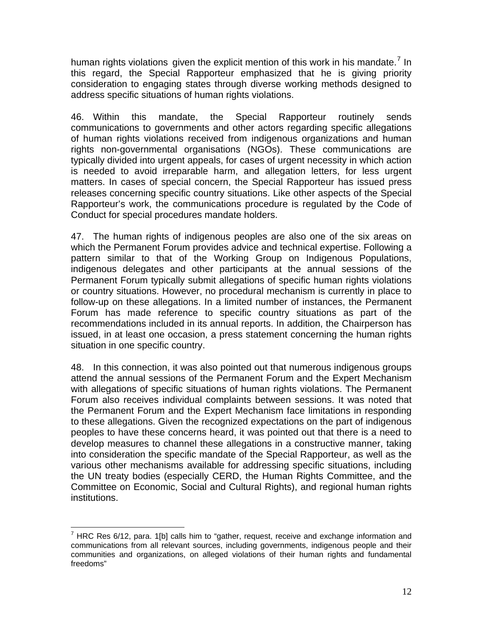human rights violations given the explicit mention of this work in his mandate.<sup>[7](#page-11-0)</sup> In this regard, the Special Rapporteur emphasized that he is giving priority consideration to engaging states through diverse working methods designed to address specific situations of human rights violations.

46. Within this mandate, the Special Rapporteur routinely sends communications to governments and other actors regarding specific allegations of human rights violations received from indigenous organizations and human rights non-governmental organisations (NGOs). These communications are typically divided into urgent appeals, for cases of urgent necessity in which action is needed to avoid irreparable harm, and allegation letters, for less urgent matters. In cases of special concern, the Special Rapporteur has issued press releases concerning specific country situations. Like other aspects of the Special Rapporteur's work, the communications procedure is regulated by the Code of Conduct for special procedures mandate holders.

47. The human rights of indigenous peoples are also one of the six areas on which the Permanent Forum provides advice and technical expertise. Following a pattern similar to that of the Working Group on Indigenous Populations, indigenous delegates and other participants at the annual sessions of the Permanent Forum typically submit allegations of specific human rights violations or country situations. However, no procedural mechanism is currently in place to follow-up on these allegations. In a limited number of instances, the Permanent Forum has made reference to specific country situations as part of the recommendations included in its annual reports. In addition, the Chairperson has issued, in at least one occasion, a press statement concerning the human rights situation in one specific country.

48. In this connection, it was also pointed out that numerous indigenous groups attend the annual sessions of the Permanent Forum and the Expert Mechanism with allegations of specific situations of human rights violations. The Permanent Forum also receives individual complaints between sessions. It was noted that the Permanent Forum and the Expert Mechanism face limitations in responding to these allegations. Given the recognized expectations on the part of indigenous peoples to have these concerns heard, it was pointed out that there is a need to develop measures to channel these allegations in a constructive manner, taking into consideration the specific mandate of the Special Rapporteur, as well as the various other mechanisms available for addressing specific situations, including the UN treaty bodies (especially CERD, the Human Rights Committee, and the Committee on Economic, Social and Cultural Rights), and regional human rights institutions.

<span id="page-11-0"></span> 7 HRC Res 6/12, para. 1[b] calls him to "gather, request, receive and exchange information and communications from all relevant sources, including governments, indigenous people and their communities and organizations, on alleged violations of their human rights and fundamental freedoms"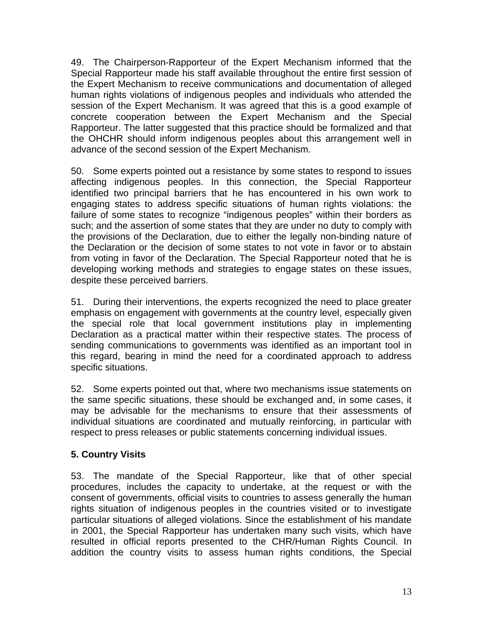49. The Chairperson-Rapporteur of the Expert Mechanism informed that the Special Rapporteur made his staff available throughout the entire first session of the Expert Mechanism to receive communications and documentation of alleged human rights violations of indigenous peoples and individuals who attended the session of the Expert Mechanism. It was agreed that this is a good example of concrete cooperation between the Expert Mechanism and the Special Rapporteur. The latter suggested that this practice should be formalized and that the OHCHR should inform indigenous peoples about this arrangement well in advance of the second session of the Expert Mechanism.

50. Some experts pointed out a resistance by some states to respond to issues affecting indigenous peoples. In this connection, the Special Rapporteur identified two principal barriers that he has encountered in his own work to engaging states to address specific situations of human rights violations: the failure of some states to recognize "indigenous peoples" within their borders as such; and the assertion of some states that they are under no duty to comply with the provisions of the Declaration, due to either the legally non-binding nature of the Declaration or the decision of some states to not vote in favor or to abstain from voting in favor of the Declaration. The Special Rapporteur noted that he is developing working methods and strategies to engage states on these issues, despite these perceived barriers.

51. During their interventions, the experts recognized the need to place greater emphasis on engagement with governments at the country level, especially given the special role that local government institutions play in implementing Declaration as a practical matter within their respective states. The process of sending communications to governments was identified as an important tool in this regard, bearing in mind the need for a coordinated approach to address specific situations.

52. Some experts pointed out that, where two mechanisms issue statements on the same specific situations, these should be exchanged and, in some cases, it may be advisable for the mechanisms to ensure that their assessments of individual situations are coordinated and mutually reinforcing, in particular with respect to press releases or public statements concerning individual issues.

# **5. Country Visits**

53. The mandate of the Special Rapporteur, like that of other special procedures, includes the capacity to undertake, at the request or with the consent of governments, official visits to countries to assess generally the human rights situation of indigenous peoples in the countries visited or to investigate particular situations of alleged violations. Since the establishment of his mandate in 2001, the Special Rapporteur has undertaken many such visits, which have resulted in official reports presented to the CHR/Human Rights Council. In addition the country visits to assess human rights conditions, the Special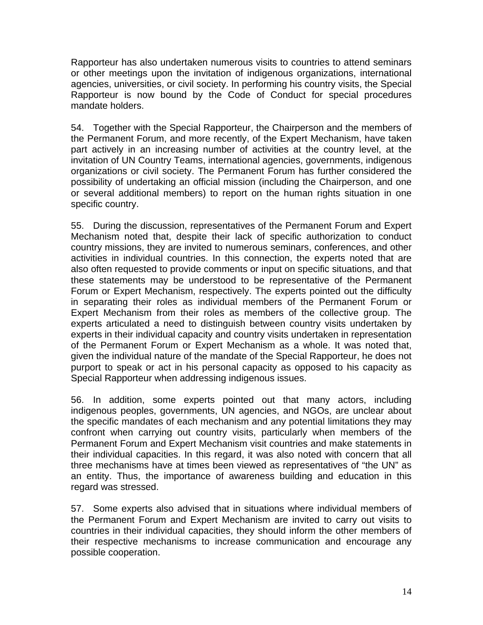Rapporteur has also undertaken numerous visits to countries to attend seminars or other meetings upon the invitation of indigenous organizations, international agencies, universities, or civil society. In performing his country visits, the Special Rapporteur is now bound by the Code of Conduct for special procedures mandate holders.

54. Together with the Special Rapporteur, the Chairperson and the members of the Permanent Forum, and more recently, of the Expert Mechanism, have taken part actively in an increasing number of activities at the country level, at the invitation of UN Country Teams, international agencies, governments, indigenous organizations or civil society. The Permanent Forum has further considered the possibility of undertaking an official mission (including the Chairperson, and one or several additional members) to report on the human rights situation in one specific country.

55. During the discussion, representatives of the Permanent Forum and Expert Mechanism noted that, despite their lack of specific authorization to conduct country missions, they are invited to numerous seminars, conferences, and other activities in individual countries. In this connection, the experts noted that are also often requested to provide comments or input on specific situations, and that these statements may be understood to be representative of the Permanent Forum or Expert Mechanism, respectively. The experts pointed out the difficulty in separating their roles as individual members of the Permanent Forum or Expert Mechanism from their roles as members of the collective group. The experts articulated a need to distinguish between country visits undertaken by experts in their individual capacity and country visits undertaken in representation of the Permanent Forum or Expert Mechanism as a whole. It was noted that, given the individual nature of the mandate of the Special Rapporteur, he does not purport to speak or act in his personal capacity as opposed to his capacity as Special Rapporteur when addressing indigenous issues.

56. In addition, some experts pointed out that many actors, including indigenous peoples, governments, UN agencies, and NGOs, are unclear about the specific mandates of each mechanism and any potential limitations they may confront when carrying out country visits, particularly when members of the Permanent Forum and Expert Mechanism visit countries and make statements in their individual capacities. In this regard, it was also noted with concern that all three mechanisms have at times been viewed as representatives of "the UN" as an entity. Thus, the importance of awareness building and education in this regard was stressed.

57. Some experts also advised that in situations where individual members of the Permanent Forum and Expert Mechanism are invited to carry out visits to countries in their individual capacities, they should inform the other members of their respective mechanisms to increase communication and encourage any possible cooperation.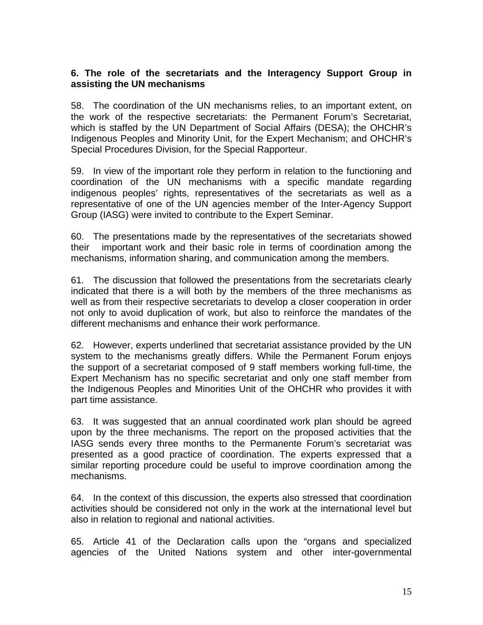## **6. The role of the secretariats and the Interagency Support Group in assisting the UN mechanisms**

58. The coordination of the UN mechanisms relies, to an important extent, on the work of the respective secretariats: the Permanent Forum's Secretariat, which is staffed by the UN Department of Social Affairs (DESA); the OHCHR's Indigenous Peoples and Minority Unit, for the Expert Mechanism; and OHCHR's Special Procedures Division, for the Special Rapporteur.

59. In view of the important role they perform in relation to the functioning and coordination of the UN mechanisms with a specific mandate regarding indigenous peoples' rights, representatives of the secretariats as well as a representative of one of the UN agencies member of the Inter-Agency Support Group (IASG) were invited to contribute to the Expert Seminar.

60. The presentations made by the representatives of the secretariats showed their important work and their basic role in terms of coordination among the mechanisms, information sharing, and communication among the members.

61. The discussion that followed the presentations from the secretariats clearly indicated that there is a will both by the members of the three mechanisms as well as from their respective secretariats to develop a closer cooperation in order not only to avoid duplication of work, but also to reinforce the mandates of the different mechanisms and enhance their work performance.

62. However, experts underlined that secretariat assistance provided by the UN system to the mechanisms greatly differs. While the Permanent Forum enjoys the support of a secretariat composed of 9 staff members working full-time, the Expert Mechanism has no specific secretariat and only one staff member from the Indigenous Peoples and Minorities Unit of the OHCHR who provides it with part time assistance.

63. It was suggested that an annual coordinated work plan should be agreed upon by the three mechanisms. The report on the proposed activities that the IASG sends every three months to the Permanente Forum's secretariat was presented as a good practice of coordination. The experts expressed that a similar reporting procedure could be useful to improve coordination among the mechanisms.

64. In the context of this discussion, the experts also stressed that coordination activities should be considered not only in the work at the international level but also in relation to regional and national activities.

65. Article 41 of the Declaration calls upon the "organs and specialized agencies of the United Nations system and other inter-governmental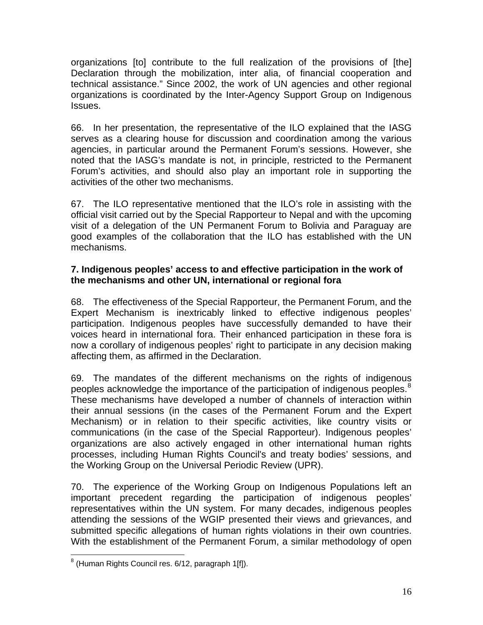organizations [to] contribute to the full realization of the provisions of [the] Declaration through the mobilization, inter alia, of financial cooperation and technical assistance." Since 2002, the work of UN agencies and other regional organizations is coordinated by the Inter-Agency Support Group on Indigenous Issues.

66. In her presentation, the representative of the ILO explained that the IASG serves as a clearing house for discussion and coordination among the various agencies, in particular around the Permanent Forum's sessions. However, she noted that the IASG's mandate is not, in principle, restricted to the Permanent Forum's activities, and should also play an important role in supporting the activities of the other two mechanisms.

67. The ILO representative mentioned that the ILO's role in assisting with the official visit carried out by the Special Rapporteur to Nepal and with the upcoming visit of a delegation of the UN Permanent Forum to Bolivia and Paraguay are good examples of the collaboration that the ILO has established with the UN mechanisms.

## **7. Indigenous peoples' access to and effective participation in the work of the mechanisms and other UN, international or regional fora**

68. The effectiveness of the Special Rapporteur, the Permanent Forum, and the Expert Mechanism is inextricably linked to effective indigenous peoples' participation. Indigenous peoples have successfully demanded to have their voices heard in international fora. Their enhanced participation in these fora is now a corollary of indigenous peoples' right to participate in any decision making affecting them, as affirmed in the Declaration.

69. The mandates of the different mechanisms on the rights of indigenous peoples acknowledge the importance of the participation of indigenous peoples.<sup>[8](#page-15-0)</sup> These mechanisms have developed a number of channels of interaction within their annual sessions (in the cases of the Permanent Forum and the Expert Mechanism) or in relation to their specific activities, like country visits or communications (in the case of the Special Rapporteur). Indigenous peoples' organizations are also actively engaged in other international human rights processes, including Human Rights Council's and treaty bodies' sessions, and the Working Group on the Universal Periodic Review (UPR).

70. The experience of the Working Group on Indigenous Populations left an important precedent regarding the participation of indigenous peoples' representatives within the UN system. For many decades, indigenous peoples attending the sessions of the WGIP presented their views and grievances, and submitted specific allegations of human rights violations in their own countries. With the establishment of the Permanent Forum, a similar methodology of open

<span id="page-15-0"></span> 8 (Human Rights Council res. 6/12, paragraph 1[f]).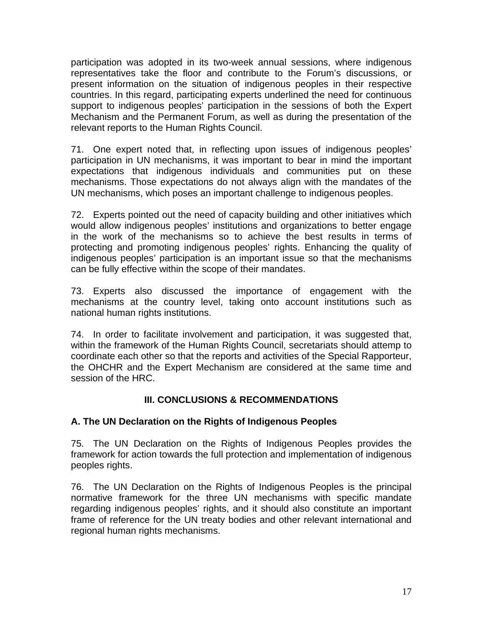participation was adopted in its two-week annual sessions, where indigenous representatives take the floor and contribute to the Forum's discussions, or present information on the situation of indigenous peoples in their respective countries. In this regard, participating experts underlined the need for continuous support to indigenous peoples' participation in the sessions of both the Expert Mechanism and the Permanent Forum, as well as during the presentation of the relevant reports to the Human Rights Council.

71. One expert noted that, in reflecting upon issues of indigenous peoples' participation in UN mechanisms, it was important to bear in mind the important expectations that indigenous individuals and communities put on these mechanisms. Those expectations do not always align with the mandates of the UN mechanisms, which poses an important challenge to indigenous peoples.

72. Experts pointed out the need of capacity building and other initiatives which would allow indigenous peoples' institutions and organizations to better engage in the work of the mechanisms so to achieve the best results in terms of protecting and promoting indigenous peoples' rights. Enhancing the quality of indigenous peoples' participation is an important issue so that the mechanisms can be fully effective within the scope of their mandates.

73. Experts also discussed the importance of engagement with the mechanisms at the country level, taking onto account institutions such as national human rights institutions.

74. In order to facilitate involvement and participation, it was suggested that, within the framework of the Human Rights Council, secretariats should attemp to coordinate each other so that the reports and activities of the Special Rapporteur, the OHCHR and the Expert Mechanism are considered at the same time and session of the HRC.

## **III. CONCLUSIONS & RECOMMENDATIONS**

## **A. The UN Declaration on the Rights of Indigenous Peoples**

75. The UN Declaration on the Rights of Indigenous Peoples provides the framework for action towards the full protection and implementation of indigenous peoples rights.

76. The UN Declaration on the Rights of Indigenous Peoples is the principal normative framework for the three UN mechanisms with specific mandate regarding indigenous peoples' rights, and it should also constitute an important frame of reference for the UN treaty bodies and other relevant international and regional human rights mechanisms.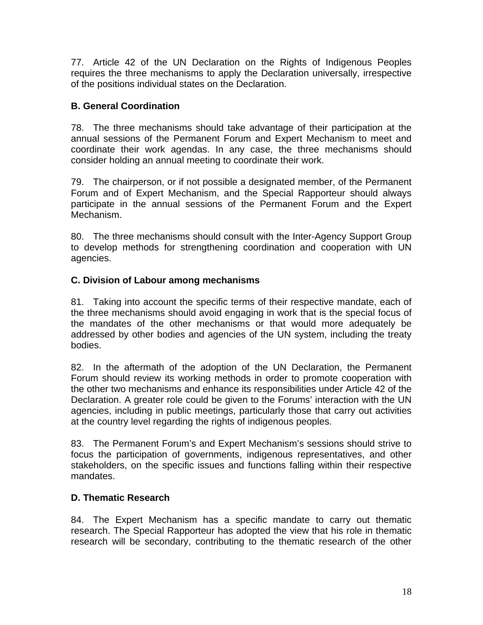77. Article 42 of the UN Declaration on the Rights of Indigenous Peoples requires the three mechanisms to apply the Declaration universally, irrespective of the positions individual states on the Declaration.

# **B. General Coordination**

78. The three mechanisms should take advantage of their participation at the annual sessions of the Permanent Forum and Expert Mechanism to meet and coordinate their work agendas. In any case, the three mechanisms should consider holding an annual meeting to coordinate their work.

79. The chairperson, or if not possible a designated member, of the Permanent Forum and of Expert Mechanism, and the Special Rapporteur should always participate in the annual sessions of the Permanent Forum and the Expert Mechanism.

80. The three mechanisms should consult with the Inter-Agency Support Group to develop methods for strengthening coordination and cooperation with UN agencies.

# **C. Division of Labour among mechanisms**

81. Taking into account the specific terms of their respective mandate, each of the three mechanisms should avoid engaging in work that is the special focus of the mandates of the other mechanisms or that would more adequately be addressed by other bodies and agencies of the UN system, including the treaty bodies.

82. In the aftermath of the adoption of the UN Declaration, the Permanent Forum should review its working methods in order to promote cooperation with the other two mechanisms and enhance its responsibilities under Article 42 of the Declaration. A greater role could be given to the Forums' interaction with the UN agencies, including in public meetings, particularly those that carry out activities at the country level regarding the rights of indigenous peoples.

83. The Permanent Forum's and Expert Mechanism's sessions should strive to focus the participation of governments, indigenous representatives, and other stakeholders, on the specific issues and functions falling within their respective mandates.

## **D. Thematic Research**

84. The Expert Mechanism has a specific mandate to carry out thematic research. The Special Rapporteur has adopted the view that his role in thematic research will be secondary, contributing to the thematic research of the other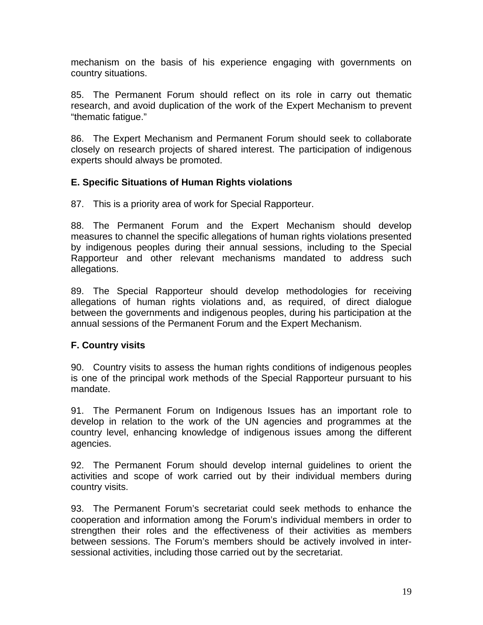mechanism on the basis of his experience engaging with governments on country situations.

85. The Permanent Forum should reflect on its role in carry out thematic research, and avoid duplication of the work of the Expert Mechanism to prevent "thematic fatigue."

86. The Expert Mechanism and Permanent Forum should seek to collaborate closely on research projects of shared interest. The participation of indigenous experts should always be promoted.

## **E. Specific Situations of Human Rights violations**

87. This is a priority area of work for Special Rapporteur.

88. The Permanent Forum and the Expert Mechanism should develop measures to channel the specific allegations of human rights violations presented by indigenous peoples during their annual sessions, including to the Special Rapporteur and other relevant mechanisms mandated to address such allegations.

89. The Special Rapporteur should develop methodologies for receiving allegations of human rights violations and, as required, of direct dialogue between the governments and indigenous peoples, during his participation at the annual sessions of the Permanent Forum and the Expert Mechanism.

#### **F. Country visits**

90. Country visits to assess the human rights conditions of indigenous peoples is one of the principal work methods of the Special Rapporteur pursuant to his mandate.

91. The Permanent Forum on Indigenous Issues has an important role to develop in relation to the work of the UN agencies and programmes at the country level, enhancing knowledge of indigenous issues among the different agencies.

92. The Permanent Forum should develop internal guidelines to orient the activities and scope of work carried out by their individual members during country visits.

93. The Permanent Forum's secretariat could seek methods to enhance the cooperation and information among the Forum's individual members in order to strengthen their roles and the effectiveness of their activities as members between sessions. The Forum's members should be actively involved in intersessional activities, including those carried out by the secretariat.